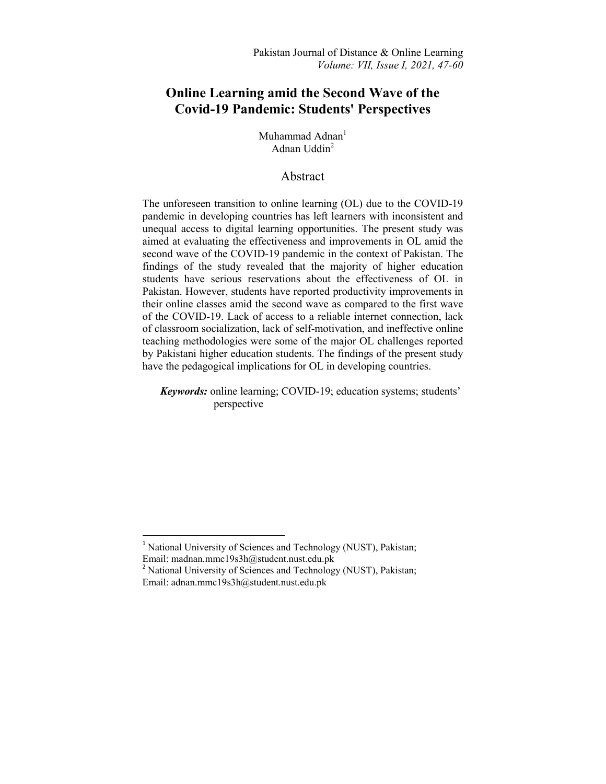# **Online Learning amid the Second Wave of the Covid-19 Pandemic: Students' Perspectives**

Muhammad Adnan<sup>1</sup> Adnan Uddin<sup>2</sup>

# Abstract

The unforeseen transition to online learning (OL) due to the COVID-19 pandemic in developing countries has left learners with inconsistent and unequal access to digital learning opportunities. The present study was aimed at evaluating the effectiveness and improvements in OL amid the second wave of the COVID-19 pandemic in the context of Pakistan. The findings of the study revealed that the majority of higher education students have serious reservations about the effectiveness of OL in Pakistan. However, students have reported productivity improvements in their online classes amid the second wave as compared to the first wave of the COVID-19. Lack of access to a reliable internet connection, lack of classroom socialization, lack of self-motivation, and ineffective online teaching methodologies were some of the major OL challenges reported by Pakistani higher education students. The findings of the present study have the pedagogical implications for OL in developing countries.

*Keywords:* online learning; COVID-19; education systems; students' perspective

**.** 

<sup>&</sup>lt;sup>1</sup> National University of Sciences and Technology (NUST), Pakistan; Email: madnan.mmc19s3h@student.nust.edu.pk

<sup>&</sup>lt;sup>2</sup> National University of Sciences and Technology (NUST), Pakistan; Email: adnan.mmc19s3h@student.nust.edu.pk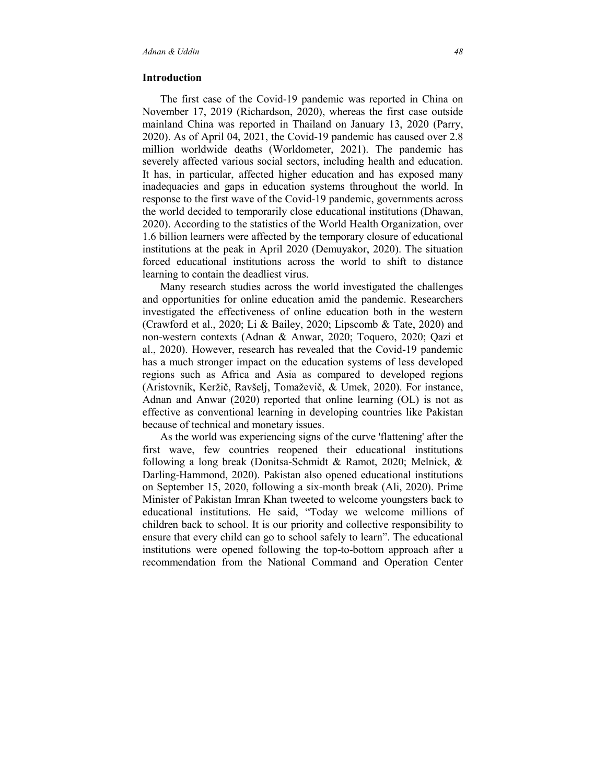#### **Introduction**

 The first case of the Covid-19 pandemic was reported in China on November 17, 2019 (Richardson, 2020), whereas the first case outside mainland China was reported in Thailand on January 13, 2020 (Parry, 2020). As of April 04, 2021, the Covid-19 pandemic has caused over 2.8 million worldwide deaths (Worldometer, 2021). The pandemic has severely affected various social sectors, including health and education. It has, in particular, affected higher education and has exposed many inadequacies and gaps in education systems throughout the world. In response to the first wave of the Covid-19 pandemic, governments across the world decided to temporarily close educational institutions (Dhawan, 2020). According to the statistics of the World Health Organization, over 1.6 billion learners were affected by the temporary closure of educational institutions at the peak in April 2020 (Demuyakor, 2020). The situation forced educational institutions across the world to shift to distance learning to contain the deadliest virus.

 Many research studies across the world investigated the challenges and opportunities for online education amid the pandemic. Researchers investigated the effectiveness of online education both in the western (Crawford et al., 2020; Li & Bailey, 2020; Lipscomb & Tate, 2020) and non-western contexts (Adnan & Anwar, 2020; Toquero, 2020; Qazi et al., 2020). However, research has revealed that the Covid-19 pandemic has a much stronger impact on the education systems of less developed regions such as Africa and Asia as compared to developed regions (Aristovnik, Keržič, Ravšelj, Tomaževič, & Umek, 2020). For instance, Adnan and Anwar (2020) reported that online learning (OL) is not as effective as conventional learning in developing countries like Pakistan because of technical and monetary issues.

 As the world was experiencing signs of the curve 'flattening' after the first wave, few countries reopened their educational institutions following a long break (Donitsa-Schmidt & Ramot, 2020; Melnick, & Darling-Hammond, 2020). Pakistan also opened educational institutions on September 15, 2020, following a six-month break (Ali, 2020). Prime Minister of Pakistan Imran Khan tweeted to welcome youngsters back to educational institutions. He said, "Today we welcome millions of children back to school. It is our priority and collective responsibility to ensure that every child can go to school safely to learn". The educational institutions were opened following the top-to-bottom approach after a recommendation from the National Command and Operation Center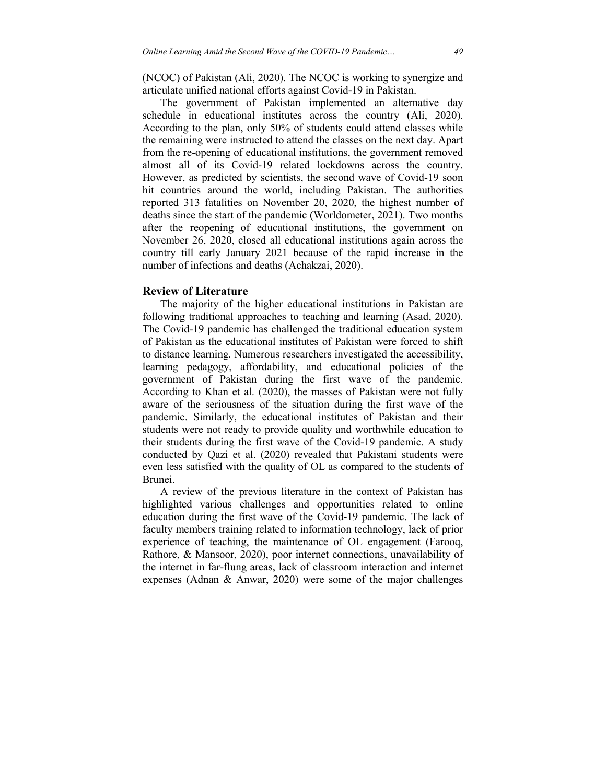(NCOC) of Pakistan (Ali, 2020). The NCOC is working to synergize and articulate unified national efforts against Covid-19 in Pakistan.

 The government of Pakistan implemented an alternative day schedule in educational institutes across the country (Ali, 2020). According to the plan, only 50% of students could attend classes while the remaining were instructed to attend the classes on the next day. Apart from the re-opening of educational institutions, the government removed almost all of its Covid-19 related lockdowns across the country. However, as predicted by scientists, the second wave of Covid-19 soon hit countries around the world, including Pakistan. The authorities reported 313 fatalities on November 20, 2020, the highest number of deaths since the start of the pandemic (Worldometer, 2021). Two months after the reopening of educational institutions, the government on November 26, 2020, closed all educational institutions again across the country till early January 2021 because of the rapid increase in the number of infections and deaths (Achakzai, 2020).

#### **Review of Literature**

 The majority of the higher educational institutions in Pakistan are following traditional approaches to teaching and learning (Asad, 2020). The Covid-19 pandemic has challenged the traditional education system of Pakistan as the educational institutes of Pakistan were forced to shift to distance learning. Numerous researchers investigated the accessibility, learning pedagogy, affordability, and educational policies of the government of Pakistan during the first wave of the pandemic. According to Khan et al. (2020), the masses of Pakistan were not fully aware of the seriousness of the situation during the first wave of the pandemic. Similarly, the educational institutes of Pakistan and their students were not ready to provide quality and worthwhile education to their students during the first wave of the Covid-19 pandemic. A study conducted by Qazi et al. (2020) revealed that Pakistani students were even less satisfied with the quality of OL as compared to the students of Brunei.

 A review of the previous literature in the context of Pakistan has highlighted various challenges and opportunities related to online education during the first wave of the Covid-19 pandemic. The lack of faculty members training related to information technology, lack of prior experience of teaching, the maintenance of OL engagement (Farooq, Rathore, & Mansoor, 2020), poor internet connections, unavailability of the internet in far-flung areas, lack of classroom interaction and internet expenses (Adnan & Anwar, 2020) were some of the major challenges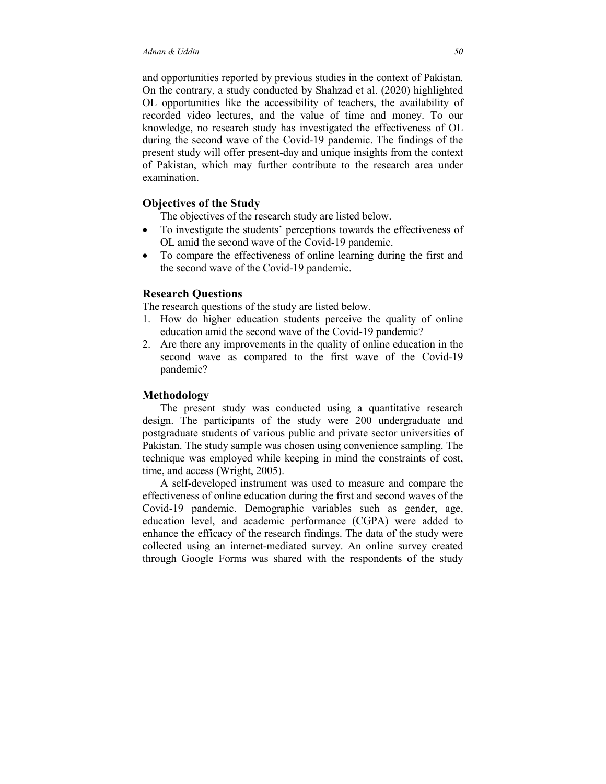and opportunities reported by previous studies in the context of Pakistan. On the contrary, a study conducted by Shahzad et al. (2020) highlighted OL opportunities like the accessibility of teachers, the availability of recorded video lectures, and the value of time and money. To our knowledge, no research study has investigated the effectiveness of OL during the second wave of the Covid-19 pandemic. The findings of the present study will offer present-day and unique insights from the context of Pakistan, which may further contribute to the research area under examination.

#### **Objectives of the Study**

The objectives of the research study are listed below.

- To investigate the students' perceptions towards the effectiveness of OL amid the second wave of the Covid-19 pandemic.
- To compare the effectiveness of online learning during the first and the second wave of the Covid-19 pandemic.

## **Research Questions**

The research questions of the study are listed below.

- 1. How do higher education students perceive the quality of online education amid the second wave of the Covid-19 pandemic?
- 2. Are there any improvements in the quality of online education in the second wave as compared to the first wave of the Covid-19 pandemic?

## **Methodology**

 The present study was conducted using a quantitative research design. The participants of the study were 200 undergraduate and postgraduate students of various public and private sector universities of Pakistan. The study sample was chosen using convenience sampling. The technique was employed while keeping in mind the constraints of cost, time, and access (Wright, 2005).

 A self-developed instrument was used to measure and compare the effectiveness of online education during the first and second waves of the Covid-19 pandemic. Demographic variables such as gender, age, education level, and academic performance (CGPA) were added to enhance the efficacy of the research findings. The data of the study were collected using an internet-mediated survey. An online survey created through Google Forms was shared with the respondents of the study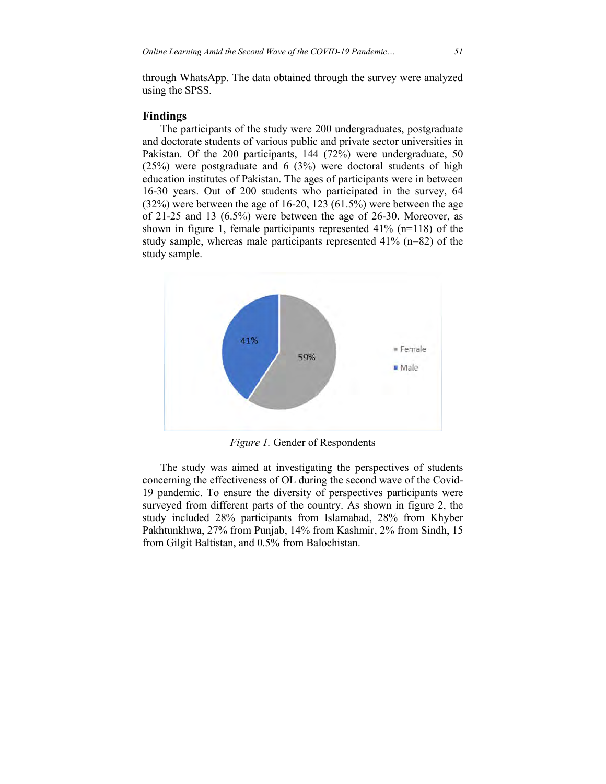through WhatsApp. The data obtained through the survey were analyzed using the SPSS.

### **Findings**

 The participants of the study were 200 undergraduates, postgraduate and doctorate students of various public and private sector universities in Pakistan. Of the 200 participants, 144 (72%) were undergraduate, 50 (25%) were postgraduate and 6 (3%) were doctoral students of high education institutes of Pakistan. The ages of participants were in between 16-30 years. Out of 200 students who participated in the survey, 64  $(32%)$  were between the age of 16-20, 123  $(61.5%)$  were between the age of 21-25 and 13 (6.5%) were between the age of 26-30. Moreover, as shown in figure 1, female participants represented 41% (n=118) of the study sample, whereas male participants represented 41% (n=82) of the study sample.



*Figure 1.* Gender of Respondents

 The study was aimed at investigating the perspectives of students concerning the effectiveness of OL during the second wave of the Covid-19 pandemic. To ensure the diversity of perspectives participants were surveyed from different parts of the country. As shown in figure 2, the study included 28% participants from Islamabad, 28% from Khyber Pakhtunkhwa, 27% from Punjab, 14% from Kashmir, 2% from Sindh, 15 from Gilgit Baltistan, and 0.5% from Balochistan.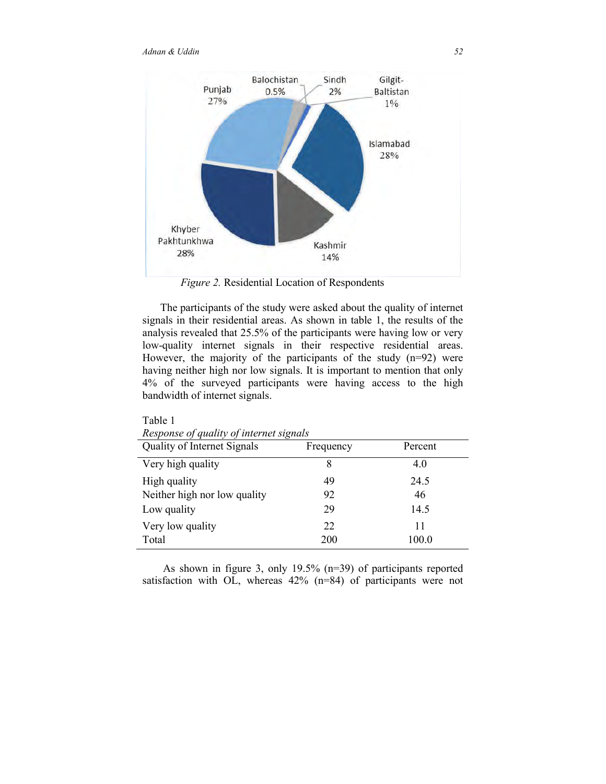

 *Figure 2.* Residential Location of Respondents

 The participants of the study were asked about the quality of internet signals in their residential areas. As shown in table 1, the results of the analysis revealed that 25.5% of the participants were having low or very low-quality internet signals in their respective residential areas. However, the majority of the participants of the study (n=92) were having neither high nor low signals. It is important to mention that only 4% of the surveyed participants were having access to the high bandwidth of internet signals.

| Quality of Internet Signals  | Frequency | Percent |
|------------------------------|-----------|---------|
| Very high quality            | 8         | 4.0     |
| High quality                 | 49        | 24.5    |
| Neither high nor low quality | 92        | 46      |
| Low quality                  | 29        | 14.5    |
| Very low quality             | 22        | 11      |
| Total                        | 200       | 100.0   |

Table 1 *Response of quality of internet signals* 

 As shown in figure 3, only 19.5% (n=39) of participants reported satisfaction with OL, whereas 42% (n=84) of participants were not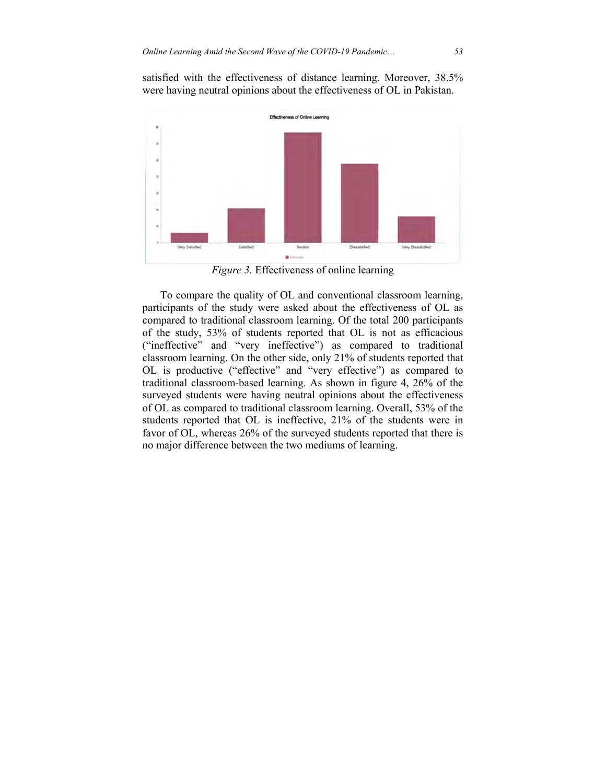satisfied with the effectiveness of distance learning. Moreover, 38.5% were having neutral opinions about the effectiveness of OL in Pakistan.



*Figure 3.* Effectiveness of online learning

 To compare the quality of OL and conventional classroom learning, participants of the study were asked about the effectiveness of OL as compared to traditional classroom learning. Of the total 200 participants of the study, 53% of students reported that OL is not as efficacious ("ineffective" and "very ineffective") as compared to traditional classroom learning. On the other side, only 21% of students reported that OL is productive ("effective" and "very effective") as compared to traditional classroom-based learning. As shown in figure 4, 26% of the surveyed students were having neutral opinions about the effectiveness of OL as compared to traditional classroom learning. Overall, 53% of the students reported that OL is ineffective, 21% of the students were in favor of OL, whereas 26% of the surveyed students reported that there is no major difference between the two mediums of learning.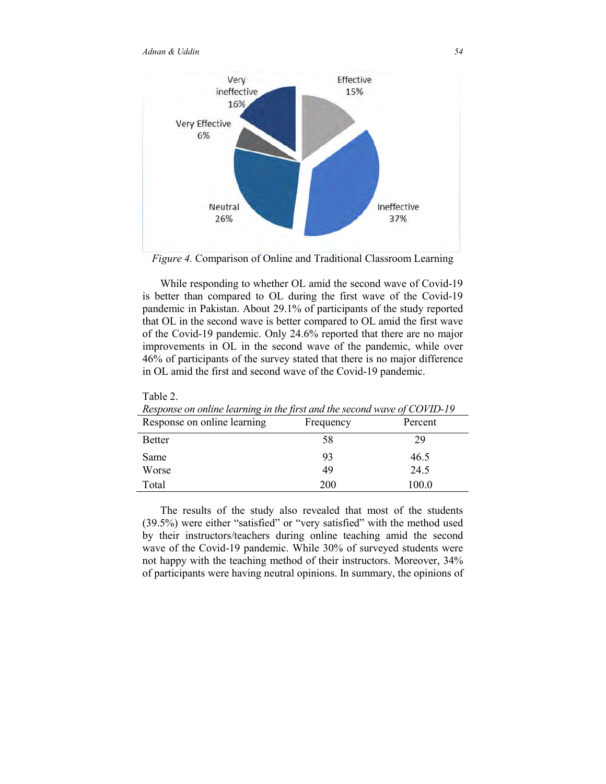

*Figure 4.* Comparison of Online and Traditional Classroom Learning

 While responding to whether OL amid the second wave of Covid-19 is better than compared to OL during the first wave of the Covid-19 pandemic in Pakistan. About 29.1% of participants of the study reported that OL in the second wave is better compared to OL amid the first wave of the Covid-19 pandemic. Only 24.6% reported that there are no major improvements in OL in the second wave of the pandemic, while over 46% of participants of the survey stated that there is no major difference in OL amid the first and second wave of the Covid-19 pandemic.

| Response on omine learning in the first and the second wave of COVID-19 |           |         |  |
|-------------------------------------------------------------------------|-----------|---------|--|
| Response on online learning                                             | Frequency | Percent |  |
| <b>Better</b>                                                           | 58        | 29      |  |
| Same                                                                    | 93        | 46.5    |  |
| Worse                                                                   | 49        | 24.5    |  |
| Total                                                                   | 200       | 100.0   |  |

Table 2. *Response on online learning in the first and the second wave of COVID-19*

 The results of the study also revealed that most of the students (39.5%) were either "satisfied" or "very satisfied" with the method used by their instructors/teachers during online teaching amid the second wave of the Covid-19 pandemic. While 30% of surveyed students were not happy with the teaching method of their instructors. Moreover, 34% of participants were having neutral opinions. In summary, the opinions of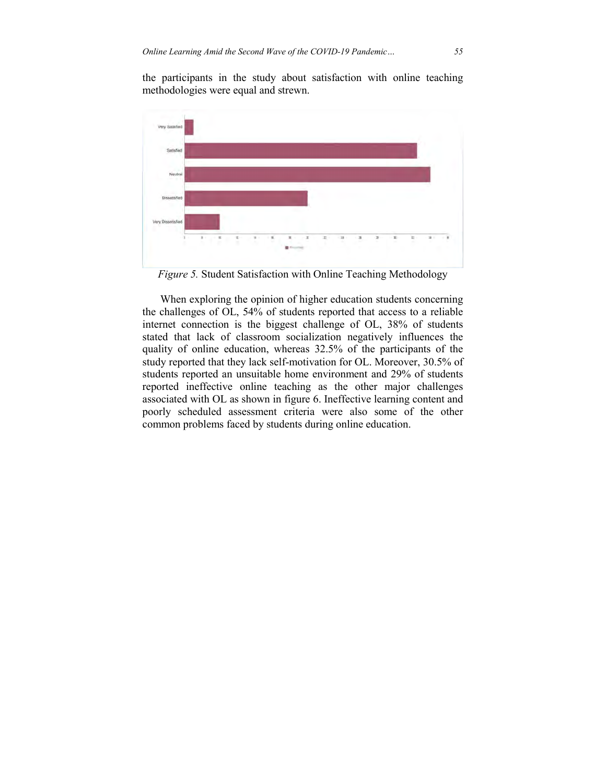the participants in the study about satisfaction with online teaching methodologies were equal and strewn.



*Figure 5.* Student Satisfaction with Online Teaching Methodology

 When exploring the opinion of higher education students concerning the challenges of OL, 54% of students reported that access to a reliable internet connection is the biggest challenge of OL, 38% of students stated that lack of classroom socialization negatively influences the quality of online education, whereas 32.5% of the participants of the study reported that they lack self-motivation for OL. Moreover, 30.5% of students reported an unsuitable home environment and 29% of students reported ineffective online teaching as the other major challenges associated with OL as shown in figure 6. Ineffective learning content and poorly scheduled assessment criteria were also some of the other common problems faced by students during online education.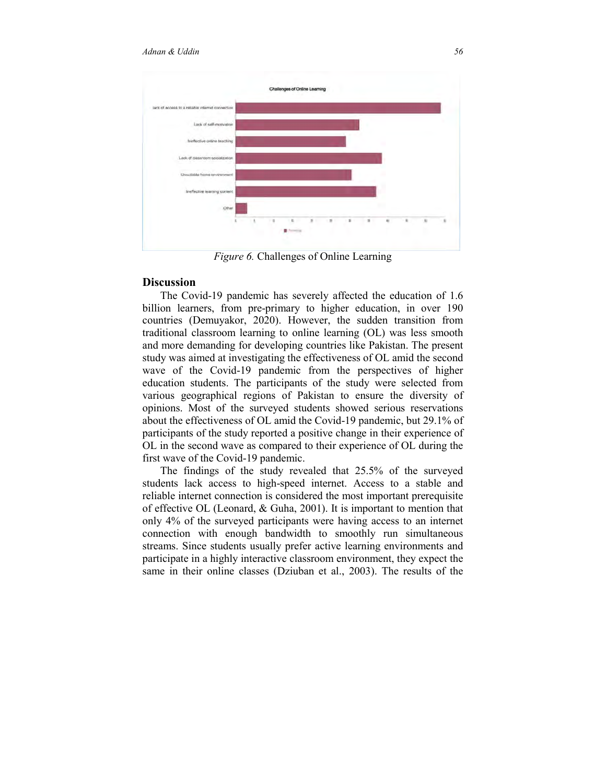

*Figure 6.* Challenges of Online Learning

## **Discussion**

 The Covid-19 pandemic has severely affected the education of 1.6 billion learners, from pre-primary to higher education, in over 190 countries (Demuyakor, 2020). However, the sudden transition from traditional classroom learning to online learning (OL) was less smooth and more demanding for developing countries like Pakistan. The present study was aimed at investigating the effectiveness of OL amid the second wave of the Covid-19 pandemic from the perspectives of higher education students. The participants of the study were selected from various geographical regions of Pakistan to ensure the diversity of opinions. Most of the surveyed students showed serious reservations about the effectiveness of OL amid the Covid-19 pandemic, but 29.1% of participants of the study reported a positive change in their experience of OL in the second wave as compared to their experience of OL during the first wave of the Covid-19 pandemic.

 The findings of the study revealed that 25.5% of the surveyed students lack access to high-speed internet. Access to a stable and reliable internet connection is considered the most important prerequisite of effective OL (Leonard, & Guha, 2001). It is important to mention that only 4% of the surveyed participants were having access to an internet connection with enough bandwidth to smoothly run simultaneous streams. Since students usually prefer active learning environments and participate in a highly interactive classroom environment, they expect the same in their online classes (Dziuban et al., 2003). The results of the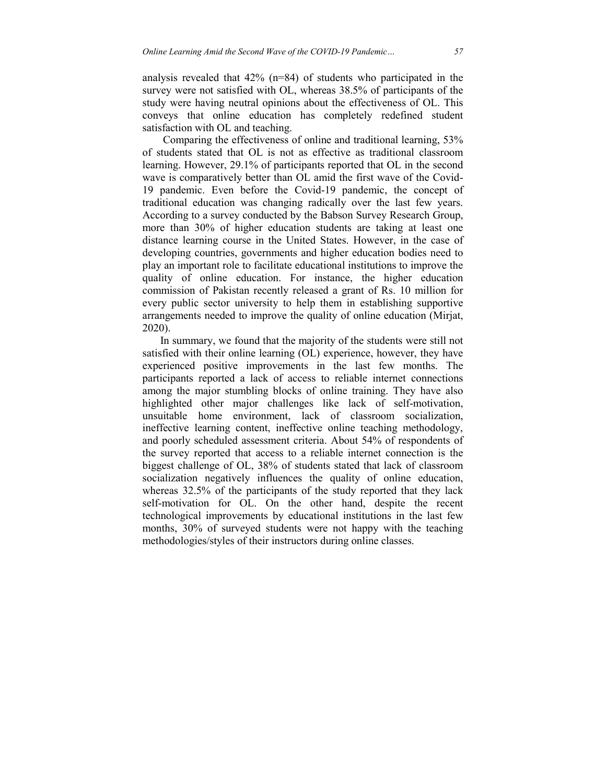analysis revealed that 42% (n=84) of students who participated in the survey were not satisfied with OL, whereas 38.5% of participants of the study were having neutral opinions about the effectiveness of OL. This conveys that online education has completely redefined student satisfaction with OL and teaching.

 Comparing the effectiveness of online and traditional learning, 53% of students stated that OL is not as effective as traditional classroom learning. However, 29.1% of participants reported that OL in the second wave is comparatively better than OL amid the first wave of the Covid-19 pandemic. Even before the Covid-19 pandemic, the concept of traditional education was changing radically over the last few years. According to a survey conducted by the Babson Survey Research Group, more than 30% of higher education students are taking at least one distance learning course in the United States. However, in the case of developing countries, governments and higher education bodies need to play an important role to facilitate educational institutions to improve the quality of online education. For instance, the higher education commission of Pakistan recently released a grant of Rs. 10 million for every public sector university to help them in establishing supportive arrangements needed to improve the quality of online education (Mirjat, 2020).

 In summary, we found that the majority of the students were still not satisfied with their online learning (OL) experience, however, they have experienced positive improvements in the last few months. The participants reported a lack of access to reliable internet connections among the major stumbling blocks of online training. They have also highlighted other major challenges like lack of self-motivation, unsuitable home environment, lack of classroom socialization, ineffective learning content, ineffective online teaching methodology, and poorly scheduled assessment criteria. About 54% of respondents of the survey reported that access to a reliable internet connection is the biggest challenge of OL, 38% of students stated that lack of classroom socialization negatively influences the quality of online education, whereas 32.5% of the participants of the study reported that they lack self-motivation for OL. On the other hand, despite the recent technological improvements by educational institutions in the last few months, 30% of surveyed students were not happy with the teaching methodologies/styles of their instructors during online classes.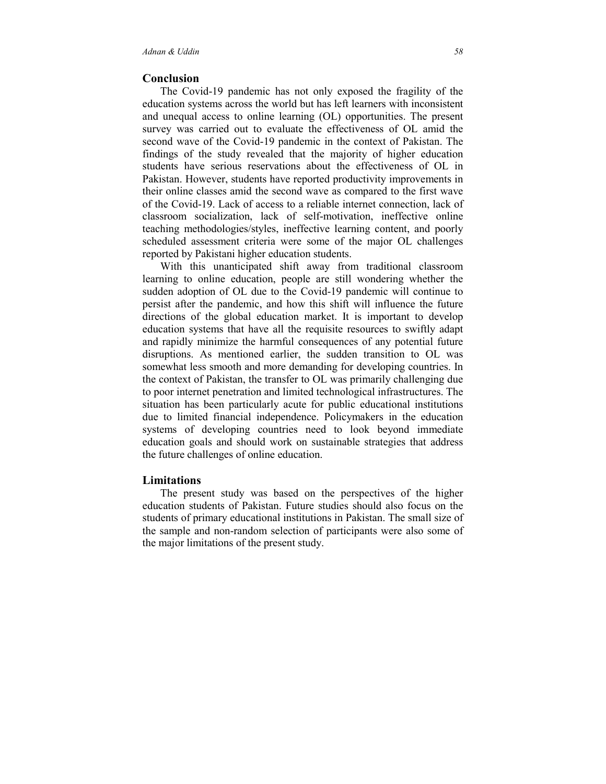### **Conclusion**

 The Covid-19 pandemic has not only exposed the fragility of the education systems across the world but has left learners with inconsistent and unequal access to online learning (OL) opportunities. The present survey was carried out to evaluate the effectiveness of OL amid the second wave of the Covid-19 pandemic in the context of Pakistan. The findings of the study revealed that the majority of higher education students have serious reservations about the effectiveness of OL in Pakistan. However, students have reported productivity improvements in their online classes amid the second wave as compared to the first wave of the Covid-19. Lack of access to a reliable internet connection, lack of classroom socialization, lack of self-motivation, ineffective online teaching methodologies/styles, ineffective learning content, and poorly scheduled assessment criteria were some of the major OL challenges reported by Pakistani higher education students.

 With this unanticipated shift away from traditional classroom learning to online education, people are still wondering whether the sudden adoption of OL due to the Covid-19 pandemic will continue to persist after the pandemic, and how this shift will influence the future directions of the global education market. It is important to develop education systems that have all the requisite resources to swiftly adapt and rapidly minimize the harmful consequences of any potential future disruptions. As mentioned earlier, the sudden transition to OL was somewhat less smooth and more demanding for developing countries. In the context of Pakistan, the transfer to OL was primarily challenging due to poor internet penetration and limited technological infrastructures. The situation has been particularly acute for public educational institutions due to limited financial independence. Policymakers in the education systems of developing countries need to look beyond immediate education goals and should work on sustainable strategies that address the future challenges of online education.

#### **Limitations**

 The present study was based on the perspectives of the higher education students of Pakistan. Future studies should also focus on the students of primary educational institutions in Pakistan. The small size of the sample and non-random selection of participants were also some of the major limitations of the present study.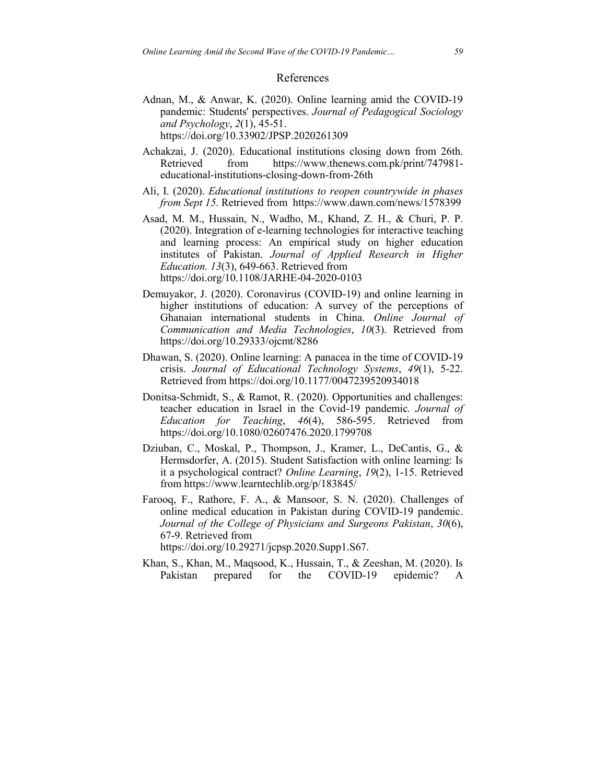#### References

- Adnan, M., & Anwar, K. (2020). Online learning amid the COVID-19 pandemic: Students' perspectives. *Journal of Pedagogical Sociology and Psychology*, *2*(1), 45-51. https://doi.org/10.33902/JPSP.2020261309
- Achakzai, J. (2020). Educational institutions closing down from 26th. Retrieved from https://www.thenews.com.pk/print/747981 educational-institutions-closing-down-from-26th
- Ali, I. (2020). *Educational institutions to reopen countrywide in phases from Sept 15*. Retrieved from https://www.dawn.com/news/1578399
- Asad, M. M., Hussain, N., Wadho, M., Khand, Z. H., & Churi, P. P. (2020). Integration of e-learning technologies for interactive teaching and learning process: An empirical study on higher education institutes of Pakistan. *Journal of Applied Research in Higher Education. 13*(3), 649-663. Retrieved from https://doi.org/10.1108/JARHE-04-2020-0103
- Demuyakor, J. (2020). Coronavirus (COVID-19) and online learning in higher institutions of education: A survey of the perceptions of Ghanaian international students in China. *Online Journal of Communication and Media Technologies*, *10*(3). Retrieved from https://doi.org/10.29333/ojcmt/8286
- Dhawan, S. (2020). Online learning: A panacea in the time of COVID-19 crisis. *Journal of Educational Technology Systems*, *49*(1), 5-22. Retrieved from https://doi.org/10.1177/0047239520934018
- Donitsa-Schmidt, S., & Ramot, R. (2020). Opportunities and challenges: teacher education in Israel in the Covid-19 pandemic*. Journal of Education for Teaching*, *46*(4), 586-595. Retrieved from https://doi.org/10.1080/02607476.2020.1799708
- Dziuban, C., Moskal, P., Thompson, J., Kramer, L., DeCantis, G., & Hermsdorfer, A. (2015). Student Satisfaction with online learning: Is it a psychological contract? *Online Learning*, *19*(2), 1-15. Retrieved from https://www.learntechlib.org/p/183845/
- Farooq, F., Rathore, F. A., & Mansoor, S. N. (2020). Challenges of online medical education in Pakistan during COVID-19 pandemic. *Journal of the College of Physicians and Surgeons Pakistan*, *30*(6), 67-9. Retrieved from

https://doi.org/10.29271/jcpsp.2020.Supp1.S67.

Khan, S., Khan, M., Maqsood, K., Hussain, T., & Zeeshan, M. (2020). Is Pakistan prepared for the COVID-19 epidemic? A